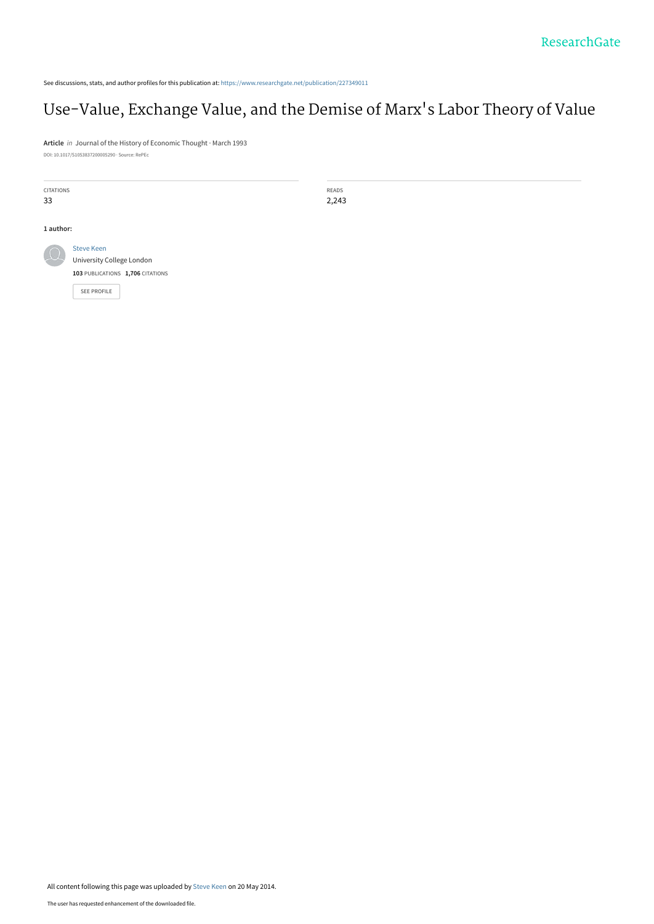See discussions, stats, and author profiles for this publication at: [https://www.researchgate.net/publication/227349011](https://www.researchgate.net/publication/227349011_Use-Value_Exchange_Value_and_the_Demise_of_Marx%27s_Labor_Theory_of_Value?enrichId=rgreq-97a6bb81a7eea5083102a05e8028ff83-XXX&enrichSource=Y292ZXJQYWdlOzIyNzM0OTAxMTtBUzo5ODg4OTY2MzI1NDUzNUAxNDAwNTg4NTQxNjQ2&el=1_x_2&_esc=publicationCoverPdf)

# [Use-Value, Exchange Value, and the Demise of Marx](https://www.researchgate.net/publication/227349011_Use-Value_Exchange_Value_and_the_Demise_of_Marx%27s_Labor_Theory_of_Value?enrichId=rgreq-97a6bb81a7eea5083102a05e8028ff83-XXX&enrichSource=Y292ZXJQYWdlOzIyNzM0OTAxMTtBUzo5ODg4OTY2MzI1NDUzNUAxNDAwNTg4NTQxNjQ2&el=1_x_3&_esc=publicationCoverPdf)'s Labor Theory of Value

**Article** in Journal of the History of Economic Thought · March 1993 DOI: 10.1017/S1053837200005290 · Source: RePEc

| CITATIONS<br>33 |                                                                                                   | READS<br>2,243 |
|-----------------|---------------------------------------------------------------------------------------------------|----------------|
| 1 author:       |                                                                                                   |                |
| $\mu$           | <b>Steve Keen</b><br>University College London<br>103 PUBLICATIONS 1,706 CITATIONS<br>SEE PROFILE |                |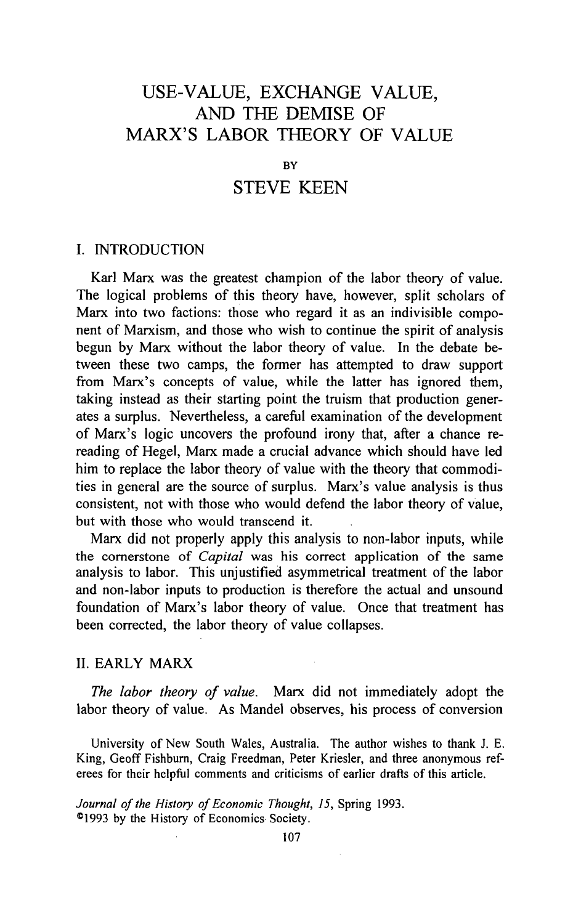## USE-VALUE, EXCHANGE VALUE, AND THE DEMISE OF MARX'S LABOR THEORY OF VALUE

**BY**

### STEVE KEEN

#### I. INTRODUCTION

Karl Marx was the greatest champion of the labor theory of value. The logical problems of this theory have, however, split scholars of Marx into two factions: those who regard it as an indivisible component of Marxism, and those who wish to continue the spirit of analysis begun by Marx without the labor theory of value. In the debate between these two camps, the former has attempted to draw support from Marx's concepts of value, while the latter has ignored them, taking instead as their starting point the truism that production generates a surplus. Nevertheless, a careful examination of the development of Marx's logic uncovers the profound irony that, after a chance rereading of Hegel, Marx made a crucial advance which should have led him to replace the labor theory of value with the theory that commodities in general are the source of surplus. Marx's value analysis is thus consistent, not with those who would defend the labor theory of value, but with those who would transcend it.

Marx did not properly apply this analysis to non-labor inputs, while the cornerstone of *Capital* was his correct application of the same analysis to labor. This unjustified asymmetrical treatment of the labor and non-labor inputs to production is therefore the actual and unsound foundation of Marx's labor theory of value. Once that treatment has been corrected, the labor theory of value collapses.

#### II. EARLY MARX

*The labor theory of value.* Marx did not immediately adopt the labor theory of value. As Mandel observes, his process of conversion

University of New South Wales, Australia. The author wishes to thank J. E. King, Geoff Fishburn, Craig Freedman, Peter Kriesler, and three anonymous referees for their helpful comments and criticisms of earlier drafts of this article.

*Journal of the History of Economic Thought, 15,* Spring 1993. °1993 by the History of Economics Society.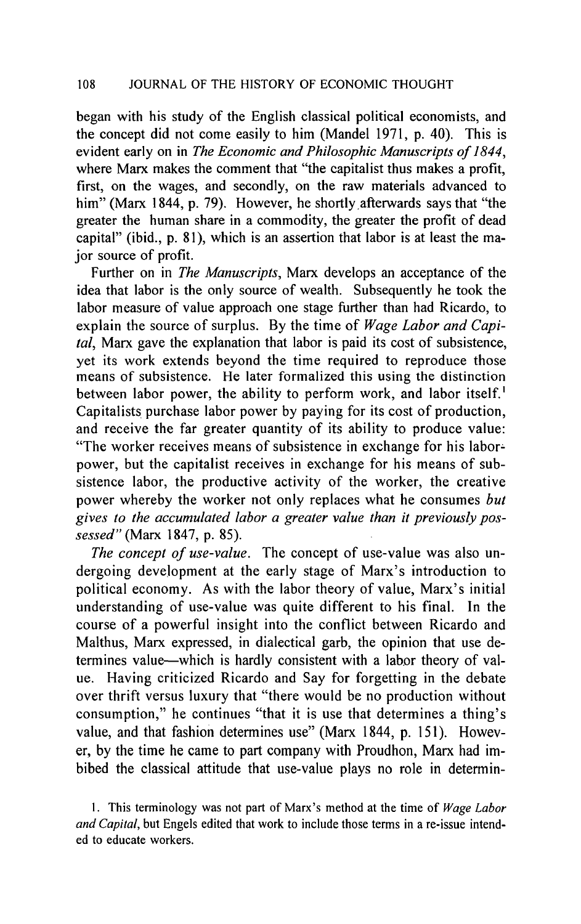began with his study of the English classical political economists, and the concept did not come easily to him (Mandel 1971, p. 40). This is evident early on in *The Economic and Philosophic Manuscripts of 1844,* where Marx makes the comment that "the capitalist thus makes a profit, first, on the wages, and secondly, on the raw materials advanced to him" (Marx 1844, p. 79). However, he shortly afterwards says that "the greater the human share in a commodity, the greater the profit of dead capital" (ibid., p. 81), which is an assertion that labor is at least the major source of profit.

Further on in *The Manuscripts,* Marx develops an acceptance of the idea that labor is the only source of wealth. Subsequently he took the labor measure of value approach one stage further than had Ricardo, to explain the source of surplus. By the time of *Wage Labor and Capital,* Marx gave the explanation that labor is paid its cost of subsistence, yet its work extends beyond the time required to reproduce those means of subsistence. He later formalized this using the distinction between labor power, the ability to perform work, and labor itself.<sup>1</sup> Capitalists purchase labor power by paying for its cost of production, and receive the far greater quantity of its ability to produce value: "The worker receives means of subsistence in exchange for his laborpower, but the capitalist receives in exchange for his means of subsistence labor, the productive activity of the worker, the creative power whereby the worker not only replaces what he consumes *but gives to the accumulated labor a greater value than it previously possessed" {Marx* 1847, p. 85).

*The concept of use-value.* The concept of use-value was also undergoing development at the early stage of Marx's introduction to political economy. As with the labor theory of value, Marx's initial understanding of use-value was quite different to his final. In the course of a powerful insight into the conflict between Ricardo and Malthus, Marx expressed, in dialectical garb, the opinion that use determines value—which is hardly consistent with a labor theory of value. Having criticized Ricardo and Say for forgetting in the debate over thrift versus luxury that "there would be no production without consumption," he continues "that it is use that determines a thing's value, and that fashion determines use" (Marx 1844, p. 151). However, by the time he came to part company with Proudhon, Marx had imbibed the classical attitude that use-value plays no role in determin-

<sup>1.</sup> This terminology was not part of Marx's method at the time of *Wage Labor and Capital,* but Engels edited that work to include those terms in a re-issue intended to educate workers.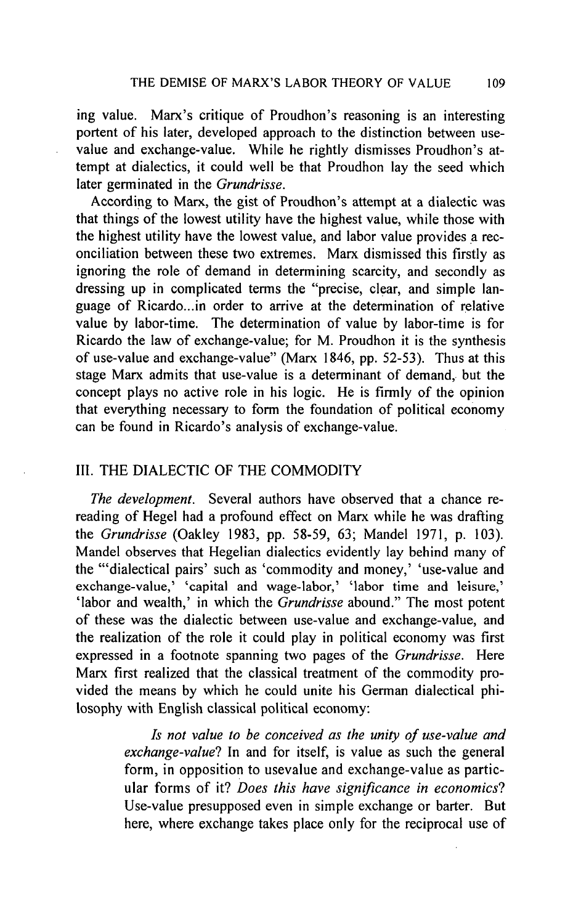ing value. Marx's critique of Proudhon's reasoning is an interesting portent of his later, developed approach to the distinction between usevalue and exchange-value. While he rightly dismisses Proudhon's attempt at dialectics, it could well be that Proudhon lay the seed which later germinated in the *Grundrisse.*

According to Marx, the gist of Proudhon's attempt at a dialectic was that things of the lowest utility have the highest value, while those with the highest utility have the lowest value, and labor value provides a reconciliation between these two extremes. Marx dismissed this firstly as ignoring the role of demand in determining scarcity, and secondly as dressing up in complicated terms the "precise, clear, and simple language of Ricardo...in order to arrive at the determination of relative value by labor-time. The determination of value by labor-time is for Ricardo the law of exchange-value; for M. Proudhon it is the synthesis of use-value and exchange-value" (Marx 1846, pp. 52-53). Thus at this stage Marx admits that use-value is a determinant of demand, but the concept plays no active role in his logic. He is firmly of the opinion that everything necessary to form the foundation of political economy can be found in Ricardo's analysis of exchange-value.

#### III. THE DIALECTIC OF THE COMMODITY

*The development.* Several authors have observed that a chance rereading of Hegel had a profound effect on Marx while he was drafting the *Grundrisse* (Oakley 1983, pp. 58-59, 63; Mandel 1971, p. 103). Mandel observes that Hegelian dialectics evidently lay behind many of the '"dialectical pairs' such as 'commodity and money,' 'use-value and exchange-value,' 'capital and wage-labor,' 'labor time and leisure,' 'labor and wealth,' in which the *Grundrisse* abound." The most potent of these was the dialectic between use-value and exchange-value, and the realization of the role it could play in political economy was first expressed in a footnote spanning two pages of the *Grundrisse.* Here Marx first realized that the classical treatment of the commodity provided the means by which he could unite his German dialectical philosophy with English classical political economy:

> *Is not value to be conceived as the unity of use-value and exchange-value?* In and for itself, is value as such the general form, in opposition to usevalue and exchange-value as particular forms of it? *Does this have significance in economics?* Use-value presupposed even in simple exchange or barter. But here, where exchange takes place only for the reciprocal use of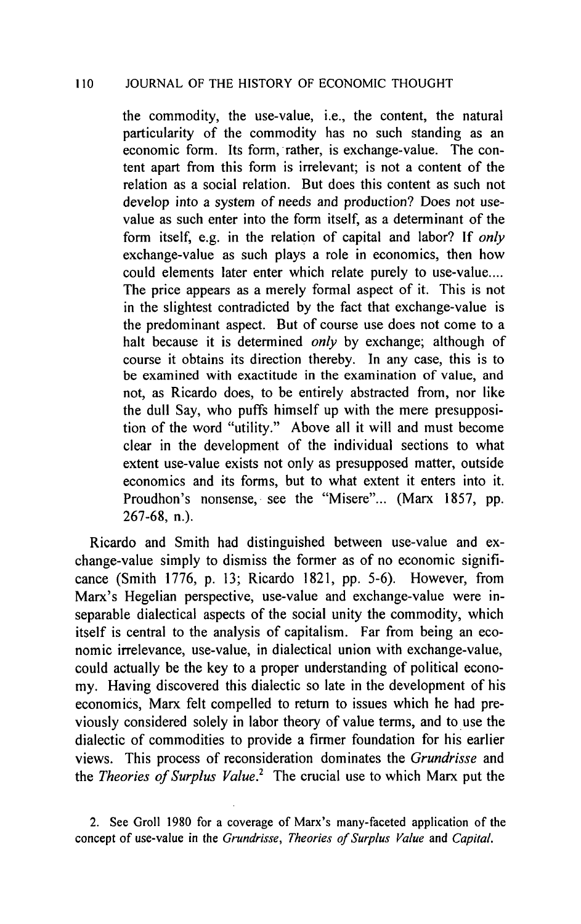the commodity, the use-value, i.e., the content, the natural particularity of the commodity has no such standing as an economic form. Its form, rather, is exchange-value. The content apart from this form is irrelevant; is not a content of the relation as a social relation. But does this content as such not develop into a system of needs and production? Does not usevalue as such enter into the form itself, as a determinant of the form itself, e.g. in the relation of capital and labor? If *only* exchange-value as such plays a role in economics, then how could elements later enter which relate purely to use-value.... The price appears as a merely formal aspect of it. This is not in the slightest contradicted by the fact that exchange-value is the predominant aspect. But of course use does not come to a halt because it is determined *only* by exchange; although of course it obtains its direction thereby. In any case, this is to be examined with exactitude in the examination of value, and not, as Ricardo does, to be entirely abstracted from, nor like the dull Say, who puffs himself up with the mere presupposition of the word "utility." Above all it will and must become clear in the development of the individual sections to what extent use-value exists not only as presupposed matter, outside economics and its forms, but to what extent it enters into it. Proudhon's nonsense, see the "Misere"... (Marx 1857, pp. 267-68, n.).

Ricardo and Smith had distinguished between use-value and exchange-value simply to dismiss the former as of no economic significance (Smith 1776, p. 13; Ricardo 1821, pp. 5-6). However, from Marx's Hegelian perspective, use-value and exchange-value were inseparable dialectical aspects of the social unity the commodity, which itself is central to the analysis of capitalism. Far from being an economic irrelevance, use-value, in dialectical union with exchange-value, could actually be the key to a proper understanding of political economy. Having discovered this dialectic so late in the development of his economics, Marx felt compelled to return to issues which he had previously considered solely in labor theory of value terms, and to use the dialectic of commodities to provide a firmer foundation for his earlier views. This process of reconsideration dominates the *Grundrisse* and the *Theories of Surplus Value?* The crucial use to which Marx put the

2. See Groll 1980 for a coverage of Marx's many-faceted application of the concept of use-value in the *Grundrisse, Theories of Surplus Value* and *Capital.*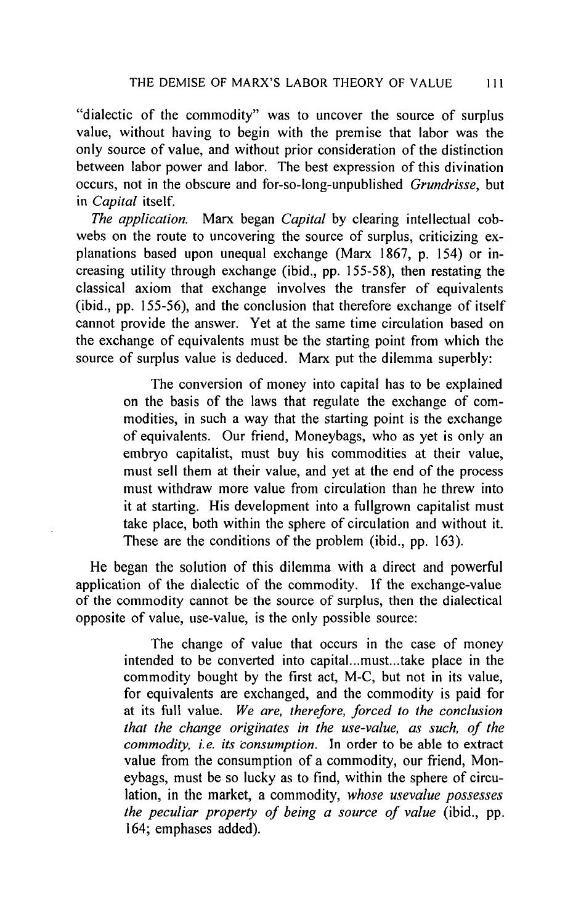"dialectic of the commodity" was to uncover the source of surplus value, without having to begin with the premise that labor was the only source of value, and without prior consideration of the distinction between labor power and labor. The best expression of this divination occurs, not in the obscure and for-so-long-unpublished *Grundrisse,* but in *Capital* itself.

*The application.* Marx began *Capital* by clearing intellectual cobwebs on the route to uncovering the source of surplus, criticizing explanations based upon unequal exchange (Marx 1867, p. 154) or increasing utility through exchange (ibid., pp. 155-58), then restating the classical axiom that exchange involves the transfer of equivalents (ibid., pp. 155-56), and the conclusion that therefore exchange of itself cannot provide the answer. Yet at the same time circulation based on the exchange of equivalents must be the starting point from which the source of surplus value is deduced. Marx put the dilemma superbly:

> The conversion of money into capital has to be explained on the basis of the laws that regulate the exchange of commodities, in such a way that the starting point is the exchange of equivalents. Our friend, Moneybags, who as yet is only an embryo capitalist, must buy his commodities at their value, must sell them at their value, and yet at the end of the process must withdraw more value from circulation than he threw into it at starting. His development into a fullgrown capitalist must take place, both within the sphere of circulation and without it. These are the conditions of the problem (ibid., pp. 163).

He began the solution of this dilemma with a direct and powerful application of the dialectic of the commodity. If the exchange-value of the commodity cannot be the source of surplus, then the dialectical opposite of value, use-value, is the only possible source:

> The change of value that occurs in the case of money intended to be converted into capital...must...take place in the commodity bought by the first act, M-C, but not in its value, for equivalents are exchanged, and the commodity is paid for at its full value. *We are, therefore, forced to the conclusion that the change originates in the use-value, as such, of the commodity, i.e. its consumption.* In order to be able to extract value from the consumption of a commodity, our friend, Moneybags, must be so lucky as to find, within the sphere of circulation, in the market, a commodity, *whose usevalue possesses the peculiar property of being a source of value* (ibid., pp. 164; emphases added).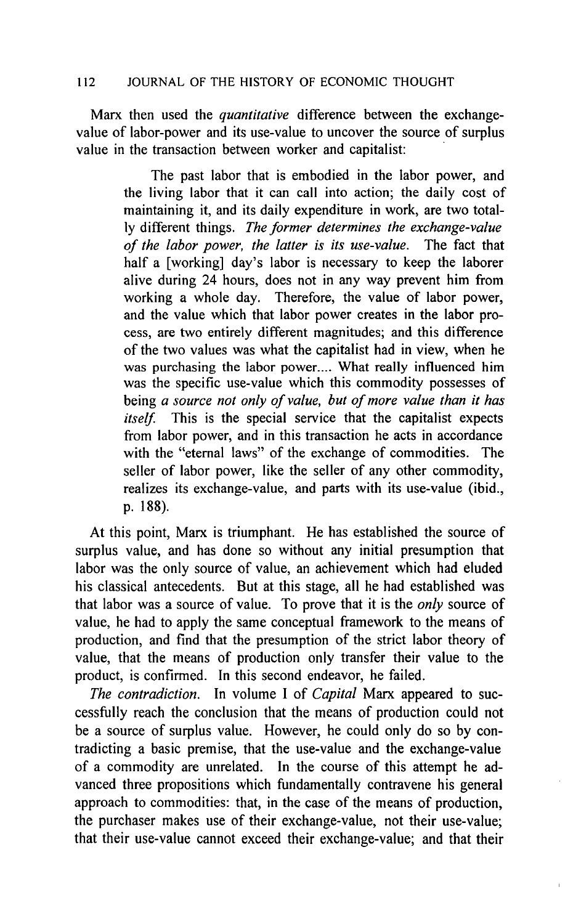Marx then used the *quantitative* difference between the exchangevalue of labor-power and its use-value to uncover the source of surplus value in the transaction between worker and capitalist:

> The past labor that is embodied in the labor power, and the living labor that it can call into action; the daily cost of maintaining it, and its daily expenditure in work, are two totally different things. *The former determines the exchange-value of the labor power, the latter is its use-value.* The fact that half a [working] day's labor is necessary to keep the laborer alive during 24 hours, does not in any way prevent him from working a whole day. Therefore, the value of labor power, and the value which that labor power creates in the labor process, are two entirely different magnitudes; and this difference of the two values was what the capitalist had in view, when he was purchasing the labor power.... What really influenced him was the specific use-value which this commodity possesses of being *a source not only of value, but of more value than it has itself.* This is the special service that the capitalist expects from labor power, and in this transaction he acts in accordance with the "eternal laws" of the exchange of commodities. The seller of labor power, like the seller of any other commodity, realizes its exchange-value, and parts with its use-value (ibid., p. 188).

At this point, Marx is triumphant. He has established the source of surplus value, and has done so without any initial presumption that labor was the only source of value, an achievement which had eluded his classical antecedents. But at this stage, all he had established was that labor was a source of value. To prove that it is the *only* source of value, he had to apply the same conceptual framework to the means of production, and find that the presumption of the strict labor theory of value, that the means of production only transfer their value to the product, is confirmed. In this second endeavor, he failed.

*The contradiction.* In volume I of *Capital* Marx appeared to successfully reach the conclusion that the means of production could not be a source of surplus value. However, he could only do so by contradicting a basic premise, that the use-value and the exchange-value of a commodity are unrelated. In the course of this attempt he advanced three propositions which fundamentally contravene his general approach to commodities: that, in the case of the means of production, the purchaser makes use of their exchange-value, not their use-value; that their use-value cannot exceed their exchange-value; and that their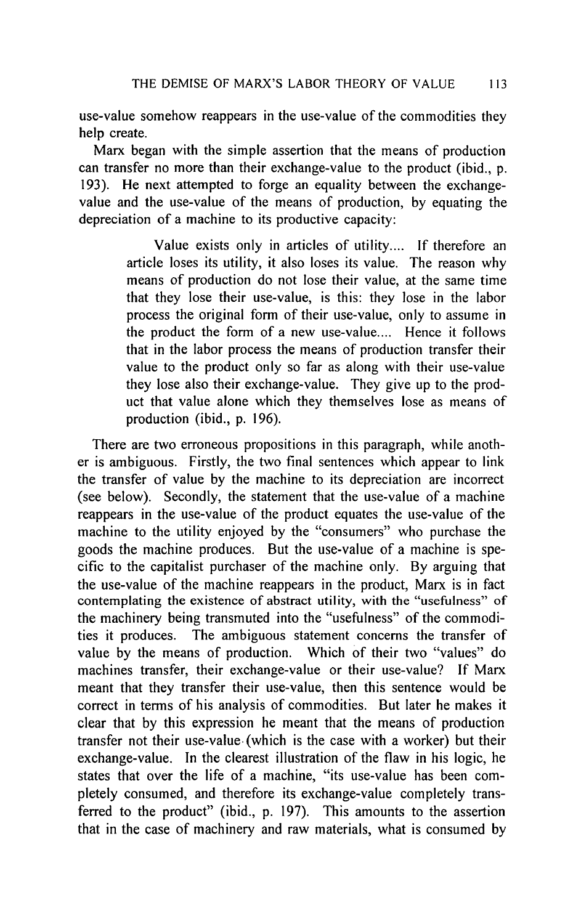use-value somehow reappears in the use-value of the commodities they help create.

Marx began with the simple assertion that the means of production can transfer no more than their exchange-value to the product (ibid., p. 193). He next attempted to forge an equality between the exchangevalue and the use-value of the means of production, by equating the depreciation of a machine to its productive capacity:

> Value exists only in articles of utility.... If therefore an article loses its utility, it also loses its value. The reason why means of production do not lose their value, at the same time that they lose their use-value, is this: they lose in the labor process the original form of their use-value, only to assume in the product the form of a new use-value.... Hence it follows that in the labor process the means of production transfer their value to the product only so far as along with their use-value they lose also their exchange-value. They give up to the product that value alone which they themselves lose as means of production (ibid., p. 196).

There are two erroneous propositions in this paragraph, while another is ambiguous. Firstly, the two final sentences which appear to link the transfer of value by the machine to its depreciation are incorrect (see below). Secondly, the statement that the use-value of a machine reappears in the use-value of the product equates the use-value of the machine to the utility enjoyed by the "consumers" who purchase the goods the machine produces. But the use-value of a machine is specific to the capitalist purchaser of the machine only. By arguing that the use-value of the machine reappears in the product, Marx is in fact contemplating the existence of abstract utility, with the "usefulness" of the machinery being transmuted into the "usefulness" of the commodities it produces. The ambiguous statement concerns the transfer of value by the means of production. Which of their two "values" do machines transfer, their exchange-value or their use-value? If Marx meant that they transfer their use-value, then this sentence would be correct in terms of his analysis of commodities. But later he makes it clear that by this expression he meant that the means of production transfer not their use-value (which is the case with a worker) but their exchange-value. In the clearest illustration of the flaw in his logic, he states that over the life of a machine, "its use-value has been completely consumed, and therefore its exchange-value completely transferred to the product" (ibid., p. 197). This amounts to the assertion that in the case of machinery and raw materials, what is consumed by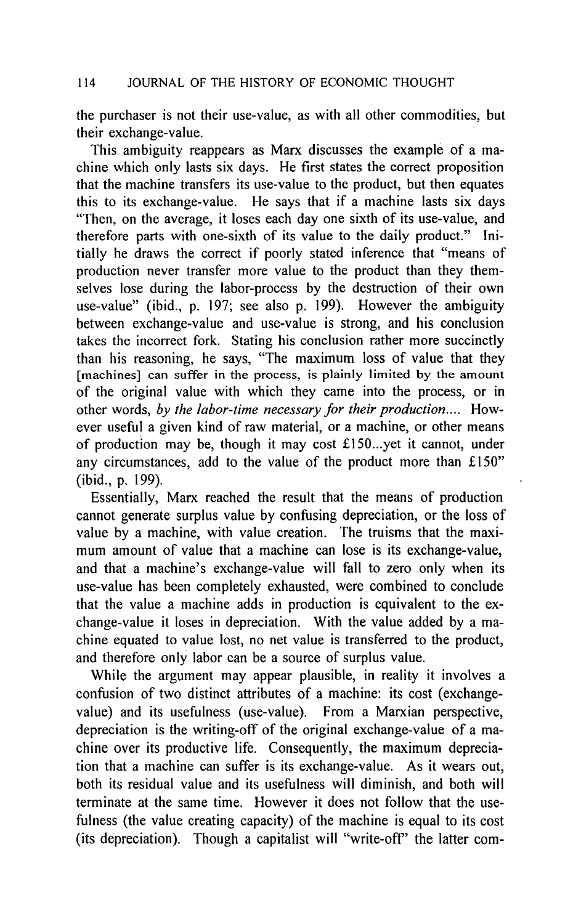the purchaser is not their use-value, as with all other commodities, but their exchange-value.

This ambiguity reappears as Marx discusses the example of a machine which only lasts six days. He first states the correct proposition that the machine transfers its use-value to the product, but then equates this to its exchange-value. He says that if a machine lasts six days "Then, on the average, it loses each day one sixth of its use-value, and therefore parts with one-sixth of its value to the daily product." Initially he draws the correct if poorly stated inference that "means of production never transfer more value to the product than they themselves lose during the labor-process by the destruction of their own use-value" (ibid., p. 197; see also p. 199). However the ambiguity between exchange-value and use-value is strong, and his conclusion takes the incorrect fork. Stating his conclusion rather more succinctly than his reasoning, he says, "The maximum loss of value that they [machines] can suffer in the process, is plainly limited by the amount of the original value with which they came into the process, or in other words, *by the labor-time necessary for their production....* However useful a given kind of raw material, or a machine, or other means of production may be, though it may cost £150...yet it cannot, under any circumstances, add to the value of the product more than £150" (ibid., p. 199).

Essentially, Marx reached the result that the means of production cannot generate surplus value by confusing depreciation, or the loss of value by a machine, with value creation. The truisms that the maximum amount of value that a machine can lose is its exchange-value, and that a machine's exchange-value will fall to zero only when its use-value has been completely exhausted, were combined to conclude that the value a machine adds in production is equivalent to the exchange-value it loses in depreciation. With the value added by a machine equated to value lost, no net value is transferred to the product, and therefore only labor can be a source of surplus value.

While the argument may appear plausible, in reality it involves a confusion of two distinct attributes of a machine: its cost (exchangevalue) and its usefulness (use-value). From a Marxian perspective, depreciation is the writing-off of the original exchange-value of a machine over its productive life. Consequently, the maximum depreciation that a machine can suffer is its exchange-value. As it wears out, both its residual value and its usefulness will diminish, and both will terminate at the same time. However it does not follow that the usefulness (the value creating capacity) of the machine is equal to its cost (its depreciation). Though a capitalist will "write-off" the latter com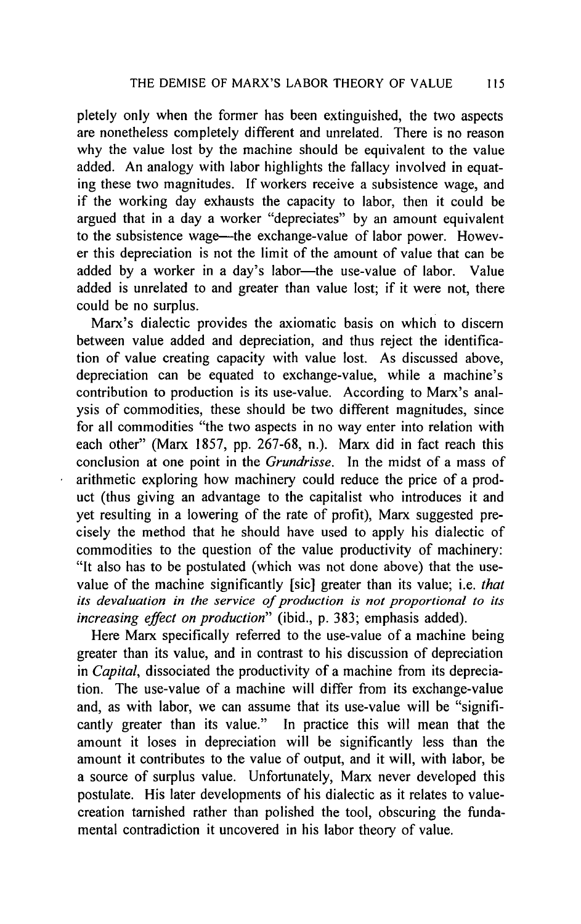pletely only when the former has been extinguished, the two aspects are nonetheless completely different and unrelated. There is no reason why the value lost by the machine should be equivalent to the value added. An analogy with labor highlights the fallacy involved in equating these two magnitudes. If workers receive a subsistence wage, and if the working day exhausts the capacity to labor, then it could be argued that in a day a worker "depreciates" by an amount equivalent to the subsistence wage—the exchange-value of labor power. However this depreciation is not the limit of the amount of value that can be added by a worker in a day's labor—the use-value of labor. Value added is unrelated to and greater than value lost; if it were not, there could be no surplus.

Marx's dialectic provides the axiomatic basis on which to discern between value added and depreciation, and thus reject the identification of value creating capacity with value lost. As discussed above, depreciation can be equated to exchange-value, while a machine's contribution to production is its use-value. According to Marx's analysis of commodities, these should be two different magnitudes, since for all commodities "the two aspects in no way enter into relation with each other" (Marx 1857, pp. 267-68, n.). Marx did in fact reach this conclusion at one point in the *Grundrisse.* In the midst of a mass of arithmetic exploring how machinery could reduce the price of a product (thus giving an advantage to the capitalist who introduces it and yet resulting in a lowering of the rate of profit), Marx suggested precisely the method that he should have used to apply his dialectic of commodities to the question of the value productivity of machinery: "It also has to be postulated (which was not done above) that the usevalue of the machine significantly [sic] greater than its value; i.e. *that its devaluation in the service of production is not proportional to its increasing effect on production"* (ibid., p. 383; emphasis added).

Here Marx specifically referred to the use-value of a machine being greater than its value, and in contrast to his discussion of depreciation in *Capital,* dissociated the productivity of a machine from its depreciation. The use-value of a machine will differ from its exchange-value and, as with labor, we can assume that its use-value will be "significantly greater than its value." In practice this will mean that the amount it loses in depreciation will be significantly less than the amount it contributes to the value of output, and it will, with labor, be a source of surplus value. Unfortunately, Marx never developed this postulate. His later developments of his dialectic as it relates to valuecreation tarnished rather than polished the tool, obscuring the fundamental contradiction it uncovered in his labor theory of value.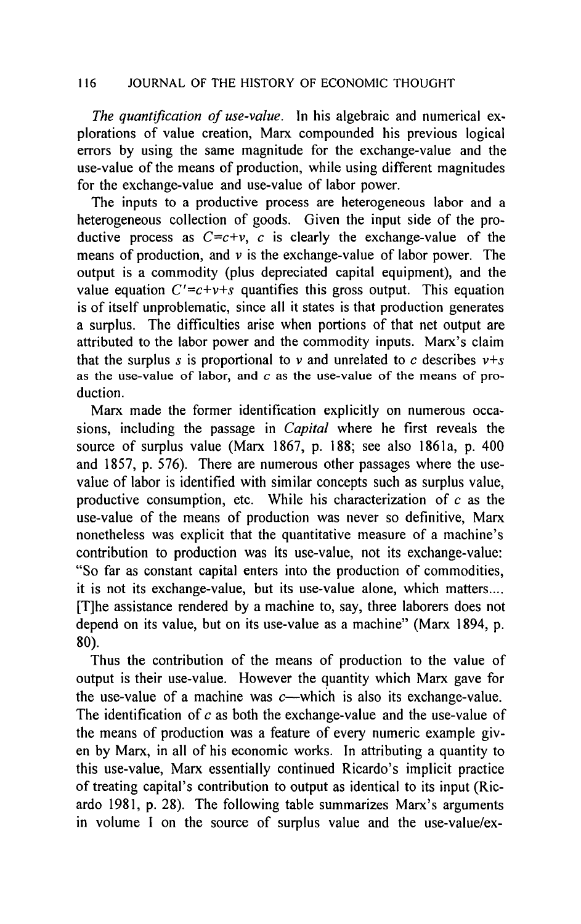*The quantification of use-value.* In his algebraic and numerical explorations of value creation, Marx compounded his previous logical errors by using the same magnitude for the exchange-value and the use-value of the means of production, while using different magnitudes for the exchange-value and use-value of labor power.

The inputs to a productive process are heterogeneous labor and a heterogeneous collection of goods. Given the input side of the productive process as  $C=c+v$ , c is clearly the exchange-value of the means of production, and  $\nu$  is the exchange-value of labor power. The output is a commodity (plus depreciated capital equipment), and the value equation  $C' = c + v + s$  quantifies this gross output. This equation is of itself unproblematic, since all it states is that production generates a surplus. The difficulties arise when portions of that net output are attributed to the labor power and the commodity inputs. Marx's claim that the surplus *s* is proportional to *v* and unrelated to *c* describes  $v+s$ as the use-value of labor, and  $c$  as the use-value of the means of production.

Marx made the former identification explicitly on numerous occasions, including the passage in *Capital* where he first reveals the source of surplus value (Marx 1867, p. 188; see also 1861a, p. 400 and 1857, p. 576). There are numerous other passages where the usevalue of labor is identified with similar concepts such as surplus value, productive consumption, etc. While his characterization of *c* as the use-value of the means of production was never so definitive, Marx nonetheless was explicit that the quantitative measure of a machine's contribution to production was its use-value, not its exchange-value: "So far as constant capital enters into the production of commodities, it is not its exchange-value, but its use-value alone, which matters.... [T]he assistance rendered by a machine to, say, three laborers does not depend on its value, but on its use-value as a machine" (Marx 1894, p. 80).

Thus the contribution of the means of production to the value of output is their use-value. However the quantity which Marx gave for the use-value of a machine was *c*—which is also its exchange-value. The identification of *c* as both the exchange-value and the use-value of the means of production was a feature of every numeric example given by Marx, in all of his economic works. In attributing a quantity to this use-value, Marx essentially continued Ricardo's implicit practice of treating capital's contribution to output as identical to its input (Ricardo 1981, p. 28). The following table summarizes Marx's arguments in volume I on the source of surplus value and the use-value/ex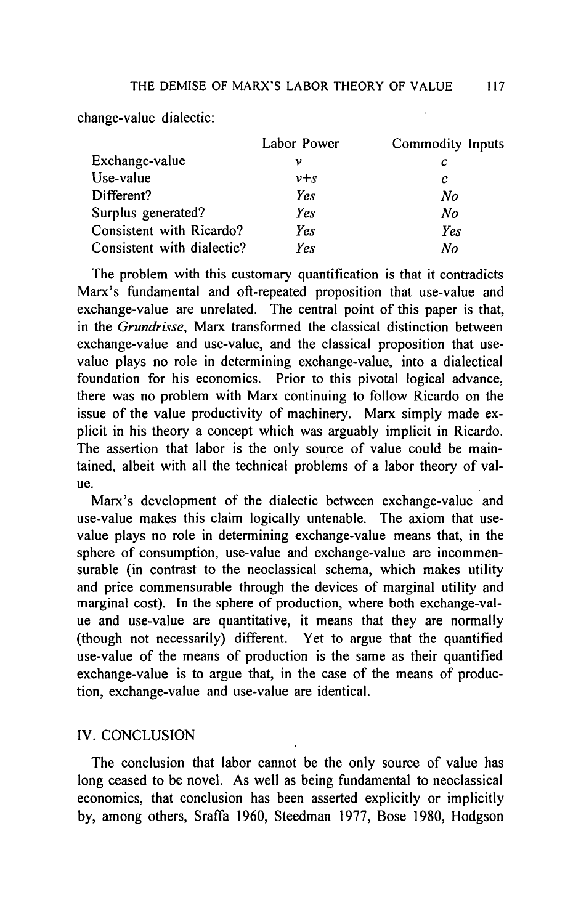change-value dialectic:

|                            | Labor Power | <b>Commodity Inputs</b> |
|----------------------------|-------------|-------------------------|
| Exchange-value             | ν           | с                       |
| Use-value                  | $v + s$     | с                       |
| Different?                 | Yes         | No                      |
| Surplus generated?         | Yes         | No                      |
| Consistent with Ricardo?   | Yes         | <b>Yes</b>              |
| Consistent with dialectic? | Yes         | $N_{\Omega}$            |

The problem with this customary quantification is that it contradicts Marx's fundamental and oft-repeated proposition that use-value and exchange-value are unrelated. The central point of this paper is that, in the *Grundrisse,* Marx transformed the classical distinction between exchange-value and use-value, and the classical proposition that usevalue plays no role in determining exchange-value, into a dialectical foundation for his economics. Prior to this pivotal logical advance, there was no problem with Marx continuing to follow Ricardo on the issue of the value productivity of machinery. Marx simply made explicit in his theory a concept which was arguably implicit in Ricardo. The assertion that labor is the only source of value could be maintained, albeit with all the technical problems of a labor theory of value.

Marx's development of the dialectic between exchange-value and use-value makes this claim logically untenable. The axiom that usevalue plays no role in determining exchange-value means that, in the sphere of consumption, use-value and exchange-value are incommensurable (in contrast to the neoclassical schema, which makes utility and price commensurable through the devices of marginal utility and marginal cost). In the sphere of production, where both exchange-value and use-value are quantitative, it means that they are normally (though not necessarily) different. Yet to argue that the quantified use-value of the means of production is the same as their quantified exchange-value is to argue that, in the case of the means of production, exchange-value and use-value are identical.

#### IV. CONCLUSION

The conclusion that labor cannot be the only source of value has long ceased to be novel. As well as being fundamental to neoclassical economics, that conclusion has been asserted explicitly or implicitly by, among others, Sraffa 1960, Steedman 1977, Bose 1980, Hodgson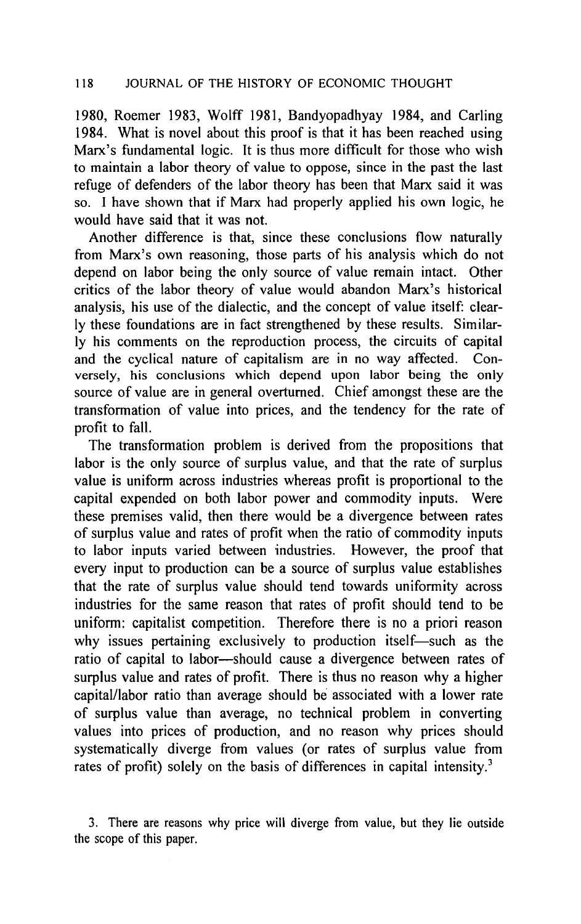1980, Roemer 1983, Wolff 1981, Bandyopadhyay 1984, and Carling 1984. What is novel about this proof is that it has been reached using Marx's fundamental logic. It is thus more difficult for those who wish to maintain a labor theory of value to oppose, since in the past the last refuge of defenders of the labor theory has been that Marx said it was so. I have shown that if Marx had properly applied his own logic, he would have said that it was not.

Another difference is that, since these conclusions flow naturally from Marx's own reasoning, those parts of his analysis which do not depend on labor being the only source of value remain intact. Other critics of the labor theory of value would abandon Marx's historical analysis, his use of the dialectic, and the concept of value itself: clearly these foundations are in fact strengthened by these results. Similarly his comments on the reproduction process, the circuits of capital and the cyclical nature of capitalism are in no way affected. Conversely, his conclusions which depend upon labor being the only source of value are in general overturned. Chief amongst these are the transformation of value into prices, and the tendency for the rate of profit to fall.

The transformation problem is derived from the propositions that labor is the only source of surplus value, and that the rate of surplus value is uniform across industries whereas profit is proportional to the capital expended on both labor power and commodity inputs. Were these premises valid, then there would be a divergence between rates of surplus value and rates of profit when the ratio of commodity inputs to labor inputs varied between industries. However, the proof that every input to production can be a source of surplus value establishes that the rate of surplus value should tend towards uniformity across industries for the same reason that rates of profit should tend to be uniform: capitalist competition. Therefore there is no a priori reason why issues pertaining exclusively to production itself—such as the ratio of capital to labor—should cause a divergence between rates of surplus value and rates of profit. There is thus no reason why a higher capital/labor ratio than average should be associated with a lower rate of surplus value than average, no technical problem in converting values into prices of production, and no reason why prices should systematically diverge from values (or rates of surplus value from rates of profit) solely on the basis of differences in capital intensity.<sup>3</sup>

3. There are reasons why price will diverge from value, but they lie outside the scope of this paper.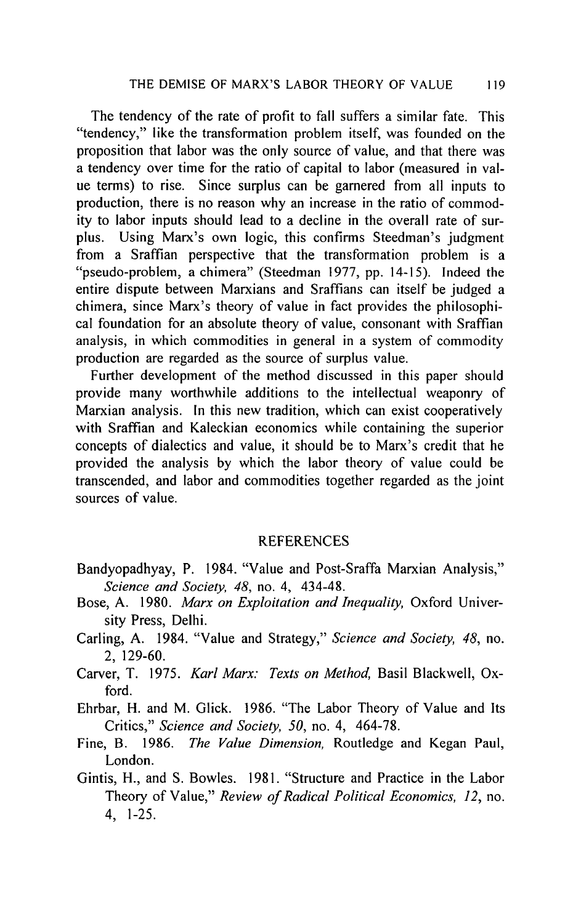The tendency of the rate of profit to fall suffers a similar fate. This "tendency," like the transformation problem itself, was founded on the proposition that labor was the only source of value, and that there was a tendency over time for the ratio of capital to labor (measured in value terms) to rise. Since surplus can be garnered from all inputs to production, there is no reason why an increase in the ratio of commodity to labor inputs should lead to a decline in the overall rate of surplus. Using Marx's own logic, this confirms Steedman's judgment from a Sraffian perspective that the transformation problem is a "pseudo-problem, a chimera" (Steedman 1977, pp. 14-15). Indeed the entire dispute between Marxians and Sraffians can itself be judged a chimera, since Marx's theory of value in fact provides the philosophical foundation for an absolute theory of value, consonant with Sraffian analysis, in which commodities in general in a system of commodity production are regarded as the source of surplus value.

Further development of the method discussed in this paper should provide many worthwhile additions to the intellectual weaponry of Marxian analysis. In this new tradition, which can exist cooperatively with Sraffian and Kaleckian economics while containing the superior concepts of dialectics and value, it should be to Marx's credit that he provided the analysis by which the labor theory of value could be transcended, and labor and commodities together regarded as the joint sources of value.

#### REFERENCES

- Bandyopadhyay, P. 1984. "Value and Post-Sraffa Marxian Analysis," *Science and Society, 48,* no. 4, 434-48.
- Bose, A. 1980. *Marx on Exploitation and Inequality,* Oxford University Press, Delhi.
- Carling, A. 1984. "Value and Strategy," *Science and Society, 48,* no. 2, 129-60.
- Carver, T. 1975. *Karl Marx: Texts on Method,* Basil Blackwell, Oxford.
- Ehrbar, H. and M. Glick. 1986. "The Labor Theory of Value and Its Critics," *Science and Society, 50,* no. 4, 464-78.
- Fine, B. 1986. *The Value Dimension,* Routledge and Kegan Paul, London.
- Gintis, H., and S. Bowles. 1981. "Structure and Practice in the Labor Theory of Value," *Review of Radical Political Economics, 12,* no. 4, 1-25.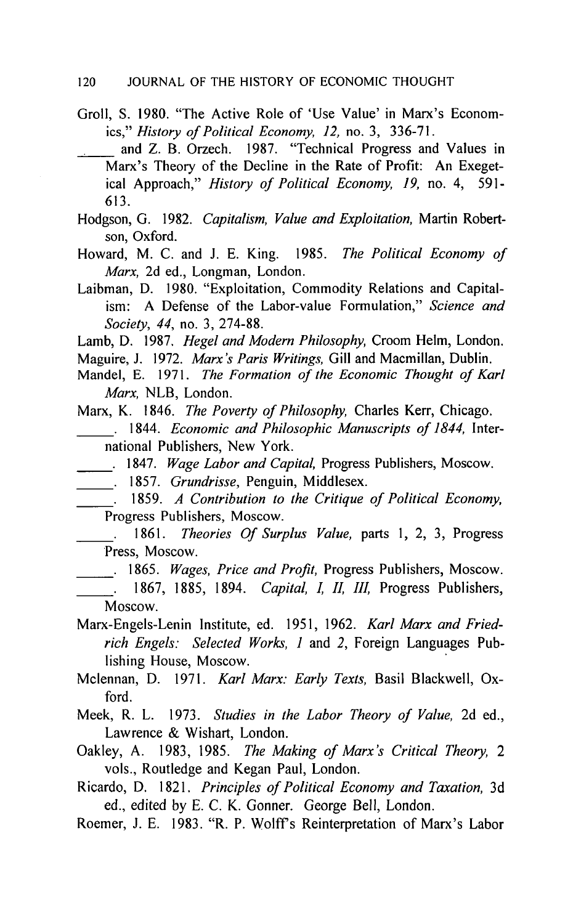- Groll, S. 1980. "The Active Role of 'Use Value' in Marx's Economics," *History of Political Economy, 12,* no. 3, 336-71.
- and Z. B. Orzech. 1987. "Technical Progress and Values in Marx's Theory of the Decline in the Rate of Profit: An Exegetical Approach," *History of Political Economy, 19,* no. 4, 591- 613.
- Hodgson, G. 1982. *Capitalism, Value and Exploitation,* Martin Robertson, Oxford.
- Howard, M. C. and J. E. King. 1985. *The Political Economy of Marx,* 2d ed., Longman, London.
- Laibman, D. 1980. "Exploitation, Commodity Relations and Capitalism: A Defense of the Labor-value Formulation," *Science and Society, 44,* no. 3, 274-88.
- Lamb, D. 1987. *Hegel and Modern Philosophy,* Croom Helm, London.

Maguire, J. 1972. *Marx's Paris Writings,* Gill and Macmillan, Dublin.

- Mandel, E. 1971. *The Formation of the Economic Thought of Karl Marx,* NLB, London.
- Marx, K. 1846. *The Poverty of Philosophy,* Charles Kerr, Chicago.
	- . 1844. *Economic and Philosophic Manuscripts of 1844,* International Publishers, New York.
- . 1847. *Wage Labor and Capital,* Progress Publishers, Moscow.
- . 1857. *Grundrisse,* Penguin, Middlesex.
- . 1859. *A Contribution to the Critique of Political Economy,* Progress Publishers, Moscow.
- . 1861. *Theories Of Surplus Value,* parts 1, 2, 3, Progress Press, Moscow.
- . 1865. *Wages, Price and Profit,* Progress Publishers, Moscow.
- . 1867, 1885, 1894. *Capital, I, II, III,* Progress Publishers, Moscow.
- Marx-Engels-Lenin Institute, ed. 1951, 1962. *Karl Marx and Friedrich Engels: Selected Works, 1* and 2, Foreign Languages Publishing House, Moscow.
- Mclennan, D. 1971. *Karl Marx: Early Texts,* Basil Blackwell, Oxford.
- Meek, R. L. 1973. *Studies in the Labor Theory of Value,* 2d ed., Lawrence & Wishart, London.
- Oakley, A. 1983, 1985. *The Making of Marx's Critical Theory,* 2 vols., Routledge and Kegan Paul, London.
- Ricardo, D. 1821. *Principles of Political Economy and Taxation,* 3d ed., edited by E. C. K. Gonner. George Bell, London.
- Roemer, J. E. 1983. "R. P. Wolffs Reinterpretation of Marx's Labor